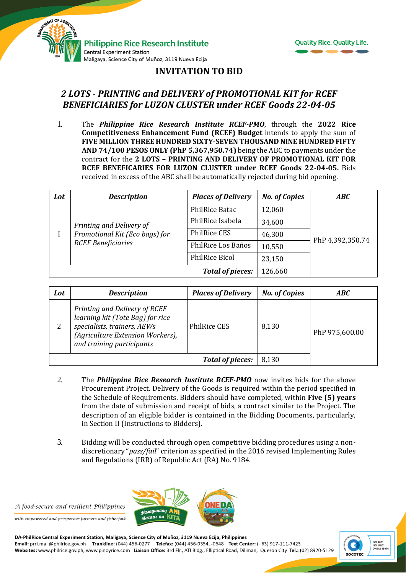



## **INVITATION TO BID**

## *2 LOTS - PRINTING and DELIVERY of PROMOTIONAL KIT for RCEF BENEFICIARIES for LUZON CLUSTER under RCEF Goods 22-04-05*

1. The *Philippine Rice Research Institute RCEF-PMO*, through the **2022 Rice Competitiveness Enhancement Fund (RCEF) Budget** intends to apply the sum of **FIVE MILLION THREE HUNDRED SIXTY-SEVEN THOUSAND NINE HUNDRED FIFTY AND 74/100 PESOS ONLY (PhP 5,367,950.74)** being the ABC to payments under the contract for the **2 LOTS – PRINTING AND DELIVERY OF PROMOTIONAL KIT FOR RCEF BENEFICARIES FOR LUZON CLUSTER under RCEF Goods 22-04-05.** Bids received in excess of the ABC shall be automatically rejected during bid opening.

| Lot | <b>Description</b>                                                                      | <b>Places of Delivery</b> | <b>No. of Copies</b> | <b>ABC</b>       |
|-----|-----------------------------------------------------------------------------------------|---------------------------|----------------------|------------------|
|     | Printing and Delivery of<br>Promotional Kit (Eco bags) for<br><b>RCEF Beneficiaries</b> | PhilRice Batac            | 12,060               | PhP 4,392,350.74 |
|     |                                                                                         | PhilRice Isabela          | 34,600               |                  |
|     |                                                                                         | PhilRice CES              | 46,300               |                  |
|     |                                                                                         | PhilRice Los Baños        | 10,550               |                  |
|     |                                                                                         | <b>PhilRice Bicol</b>     | 23,150               |                  |
|     |                                                                                         | 126,660                   |                      |                  |

| Lot | <b>Description</b>                                                                                                                                                | <b>Places of Delivery</b> | <b>No. of Copies</b> | ABC            |
|-----|-------------------------------------------------------------------------------------------------------------------------------------------------------------------|---------------------------|----------------------|----------------|
| 2   | Printing and Delivery of RCEF<br>learning kit (Tote Bag) for rice<br>specialists, trainers, AEWs<br>(Agriculture Extension Workers),<br>and training participants | <b>PhilRice CES</b>       | 8,130                | PhP 975,600.00 |
|     |                                                                                                                                                                   | 8,130                     |                      |                |

- 2. The *Philippine Rice Research Institute RCEF-PMO* now invites bids for the above Procurement Project. Delivery of the Goods is required within the period specified in the Schedule of Requirements. Bidders should have completed, within **Five (5) years** from the date of submission and receipt of bids, a contract similar to the Project. The description of an eligible bidder is contained in the Bidding Documents, particularly, in Section II (Instructions to Bidders).
- 3. Bidding will be conducted through open competitive bidding procedures using a nondiscretionary "*pass/fail*" criterion as specified in the 2016 revised Implementing Rules and Regulations (IRR) of Republic Act (RA) No. 9184.

A food-secure and resilient Philippines

with empowered and prosperous farmers and fisherfolk



DA-PhilRice Central Experiment Station, Maligaya, Science City of Muñoz, 3119 Nueva Ecija, Philippines Email: prri.mail@philrice.gov.ph Trunkline: (044) 456-0277 Telefax: (044) 456-0354, -0648 Text Center: (+63) 917-111-7423 Websites: www.philrice.gov.ph, www.pinoyrice.com Liaison Office: 3rd Flr., ATI Bldg., Elliptical Road, Diliman, Quezon City Tel.: (02) 8920-5129

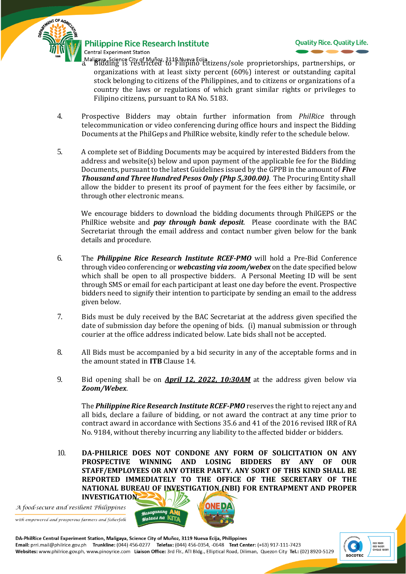

**Philippine Rice Research Institute Central Experiment Station** 



- Maligaya Science City of Muñoz, 3119 Nueva Ecija.<br>L. Bidding is restricted to Filipino citizens/sole proprietorships, partnerships, or organizations with at least sixty percent (60%) interest or outstanding capital stock belonging to citizens of the Philippines, and to citizens or organizations of a country the laws or regulations of which grant similar rights or privileges to Filipino citizens, pursuant to RA No. 5183.
- 4. Prospective Bidders may obtain further information from *PhilRice* through telecommunication or video conferencing during office hours and inspect the Bidding Documents at the PhilGeps and PhilRice website, kindly refer to the schedule below.
- 5. A complete set of Bidding Documents may be acquired by interested Bidders from the address and website(s) below and upon payment of the applicable fee for the Bidding Documents, pursuant to the latest Guidelines issued by the GPPB in the amount of *Five Thousand and Three Hundred Pesos Only (Php 5,300.00).* The Procuring Entity shall allow the bidder to present its proof of payment for the fees either by facsimile, or through other electronic means.

We encourage bidders to download the bidding documents through PhilGEPS or the PhilRice website and *pay through bank deposit*. Please coordinate with the BAC Secretariat through the email address and contact number given below for the bank details and procedure.

- 6. The *Philippine Rice Research Institute RCEF-PMO* will hold a Pre-Bid Conference through video conferencing or *webcasting via zoom/webex* on the date specified below which shall be open to all prospective bidders. A Personal Meeting ID will be sent through SMS or email for each participant at least one day before the event. Prospective bidders need to signify their intention to participate by sending an email to the address given below.
- 7. Bids must be duly received by the BAC Secretariat at the address given specified the date of submission day before the opening of bids. (i) manual submission or through courier at the office address indicated below*.* Late bids shall not be accepted.
- 8. All Bids must be accompanied by a bid security in any of the acceptable forms and in the amount stated in **ITB** Clause 14.
- 9. Bid opening shall be on *April 12, 2022, 10:30AM* at the address given below via *Zoom/Webex*.

The *Philippine Rice Research Institute RCEF-PMO* reserves the right to reject any and all bids, declare a failure of bidding, or not award the contract at any time prior to contract award in accordance with Sections 35.6 and 41 of the 2016 revised IRR of RA No. 9184, without thereby incurring any liability to the affected bidder or bidders.

10. **DA-PHILRICE DOES NOT CONDONE ANY FORM OF SOLICITATION ON ANY PROSPECTIVE WINNING AND LOSING BIDDERS BY ANY OF OUR STAFF/EMPLOYEES OR ANY OTHER PARTY. ANY SORT OF THIS KIND SHALL BE REPORTED IMMEDIATELY TO THE OFFICE OF THE SECRETARY OF THE NATIONAL BUREAU OF INVESTIGATION (NBI) FOR ENTRAPMENT AND PROPER INVESTIGATION.**

A food-secure and resilient Philippines

with empowered and prosperous farmers and fisherfolk



DA-PhilRice Central Experiment Station, Maligaya, Science City of Muñoz, 3119 Nueva Ecija, Philippines Email: prri.mail@philrice.gov.ph Trunkline: (044) 456-0277 Telefax: (044) 456-0354, -0648 Text Center: (+63) 917-111-7423 Websites: www.philrice.gov.ph, www.pinoyrice.com Liaison Office: 3rd Flr., ATI Bldg., Elliptical Road, Diliman, Quezon City Tel.: (02) 8920-5129